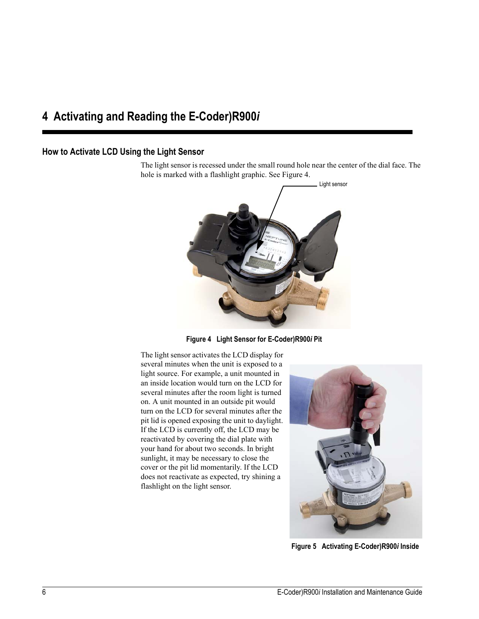# **4 Activating and Reading the E-Coder)R900***i*

## **How to Activate LCD Using the Light Sensor**

The light sensor is recessed under the small round hole near the center of the dial face. The hole is marked with a flashlight graphic. See [Figure 4](#page-0-0).



**Figure 4 Light Sensor for E-Coder)R900***i* **Pit**

<span id="page-0-0"></span>The light sensor activates the LCD display for several minutes when the unit is exposed to a light source. For example, a unit mounted in an inside location would turn on the LCD for several minutes after the room light is turned on. A unit mounted in an outside pit would turn on the LCD for several minutes after the pit lid is opened exposing the unit to daylight. If the LCD is currently off, the LCD may be reactivated by covering the dial plate with your hand for about two seconds. In bright sunlight, it may be necessary to close the cover or the pit lid momentarily. If the LCD does not reactivate as expected, try shining a flashlight on the light sensor.



**Figure 5 Activating E-Coder)R900***i* **Inside**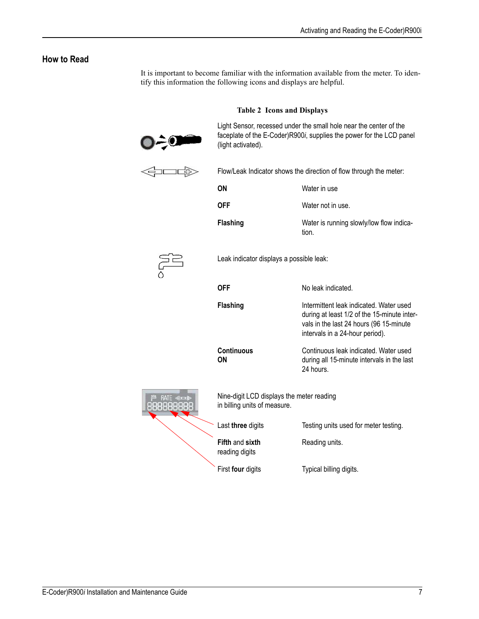## **How to Read**

It is important to become familiar with the information available from the meter. To identify this information the following icons and displays are helpful.

### **Table 2 Icons and Displays**



Light Sensor, recessed under the small hole near the center of the faceplate of the E-Coder)R900*i*, supplies the power for the LCD panel (light activated).



Flow/Leak Indicator shows the direction of flow through the meter:

| ΟN   | Water in use      |
|------|-------------------|
| OFF. | Water not in use. |

**Flashing** Water is running slowly/low flow indication.



88888

Leak indicator displays a possible leak:

| OFF                                                                       | No leak indicated.                                                                                                                                                   |
|---------------------------------------------------------------------------|----------------------------------------------------------------------------------------------------------------------------------------------------------------------|
| <b>Flashing</b>                                                           | Intermittent leak indicated. Water used<br>during at least 1/2 of the 15-minute inter-<br>vals in the last 24 hours (96 15-minute<br>intervals in a 24-hour period). |
| <b>Continuous</b><br>ΟN                                                   | Continuous leak indicated. Water used<br>during all 15-minute intervals in the last<br>24 hours.                                                                     |
| Nine-digit LCD displays the meter reading<br>in billing units of measure. |                                                                                                                                                                      |
| Last three digits                                                         | Testing units used for meter testing.                                                                                                                                |
| <b>Fifth and sixth</b><br>reading digits                                  | Reading units.                                                                                                                                                       |

First **four** digits Typical billing digits.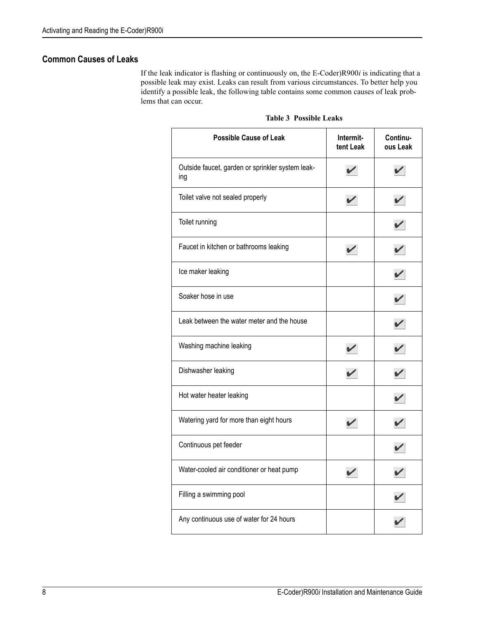## **Common Causes of Leaks**

If the leak indicator is flashing or continuously on, the E-Coder)R900*i* is indicating that a possible leak may exist. Leaks can result from various circumstances. To better help you identify a possible leak, the following table contains some common causes of leak problems that can occur.

| <b>Possible Cause of Leak</b>                           | Intermit-<br>tent Leak | Continu-<br>ous Leak |
|---------------------------------------------------------|------------------------|----------------------|
| Outside faucet, garden or sprinkler system leak-<br>ing |                        |                      |
| Toilet valve not sealed properly                        |                        |                      |
| Toilet running                                          |                        |                      |
| Faucet in kitchen or bathrooms leaking                  |                        |                      |
| Ice maker leaking                                       |                        |                      |
| Soaker hose in use                                      |                        |                      |
| Leak between the water meter and the house              |                        |                      |
| Washing machine leaking                                 |                        |                      |
| Dishwasher leaking                                      |                        |                      |
| Hot water heater leaking                                |                        |                      |
| Watering yard for more than eight hours                 |                        |                      |
| Continuous pet feeder                                   |                        |                      |
| Water-cooled air conditioner or heat pump               |                        |                      |
| Filling a swimming pool                                 |                        |                      |
| Any continuous use of water for 24 hours                |                        |                      |

#### **Table 3 Possible Leaks**